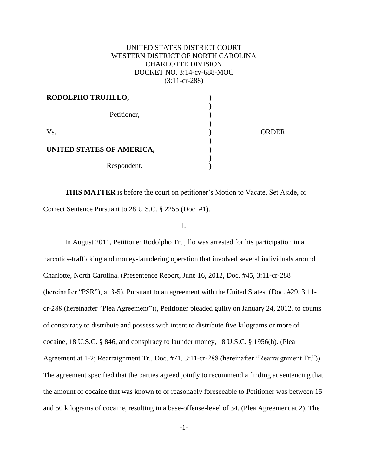# UNITED STATES DISTRICT COURT WESTERN DISTRICT OF NORTH CAROLINA CHARLOTTE DIVISION DOCKET NO. 3:14-cv-688-MOC (3:11-cr-288)

| RODOLPHO TRUJILLO,        |              |
|---------------------------|--------------|
|                           |              |
| Petitioner,               |              |
| Vs.                       | <b>ORDER</b> |
|                           |              |
| UNITED STATES OF AMERICA, |              |
|                           |              |
| Respondent.               |              |

**THIS MATTER** is before the court on petitioner's Motion to Vacate, Set Aside, or Correct Sentence Pursuant to 28 U.S.C. § 2255 (Doc. #1).

I.

In August 2011, Petitioner Rodolpho Trujillo was arrested for his participation in a narcotics-trafficking and money-laundering operation that involved several individuals around Charlotte, North Carolina. (Presentence Report, June 16, 2012, Doc. #45, 3:11-cr-288 (hereinafter "PSR"), at 3-5). Pursuant to an agreement with the United States, (Doc. #29, 3:11 cr-288 (hereinafter "Plea Agreement")), Petitioner pleaded guilty on January 24, 2012, to counts of conspiracy to distribute and possess with intent to distribute five kilograms or more of cocaine, 18 U.S.C. § 846, and conspiracy to launder money, 18 U.S.C. § 1956(h). (Plea Agreement at 1-2; Rearraignment Tr., Doc. #71, 3:11-cr-288 (hereinafter "Rearraignment Tr.")). The agreement specified that the parties agreed jointly to recommend a finding at sentencing that the amount of cocaine that was known to or reasonably foreseeable to Petitioner was between 15 and 50 kilograms of cocaine, resulting in a base-offense-level of 34. (Plea Agreement at 2). The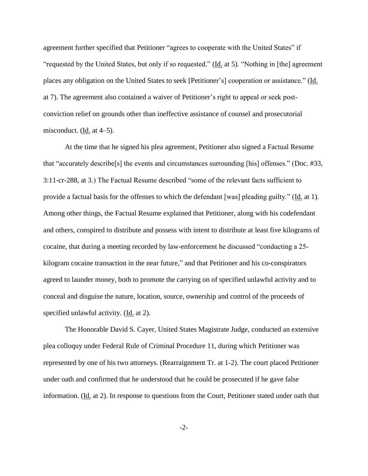agreement further specified that Petitioner "agrees to cooperate with the United States" if "requested by the United States, but only if so requested." (Id. at 5). "Nothing in [the] agreement places any obligation on the United States to seek [Petitioner's] cooperation or assistance." (Id. at 7). The agreement also contained a waiver of Petitioner's right to appeal or seek postconviction relief on grounds other than ineffective assistance of counsel and prosecutorial misconduct. ( $\underline{Id}$ . at 4–5).

At the time that he signed his plea agreement, Petitioner also signed a Factual Resume that "accurately describe[s] the events and circumstances surrounding [his] offenses." (Doc. #33, 3:11-cr-288, at 3.) The Factual Resume described "some of the relevant facts sufficient to provide a factual basis for the offenses to which the defendant [was] pleading guilty." (Id. at 1). Among other things, the Factual Resume explained that Petitioner, along with his codefendant and others, conspired to distribute and possess with intent to distribute at least five kilograms of cocaine, that during a meeting recorded by law-enforcement he discussed "conducting a 25 kilogram cocaine transaction in the near future," and that Petitioner and his co-conspirators agreed to launder money, both to promote the carrying on of specified unlawful activity and to conceal and disguise the nature, location, source, ownership and control of the proceeds of specified unlawful activity. (Id. at 2).

The Honorable David S. Cayer, United States Magistrate Judge, conducted an extensive plea colloquy under Federal Rule of Criminal Procedure 11, during which Petitioner was represented by one of his two attorneys. (Rearraignment Tr. at 1-2). The court placed Petitioner under oath and confirmed that he understood that he could be prosecuted if he gave false information. (Id. at 2). In response to questions from the Court, Petitioner stated under oath that

-2-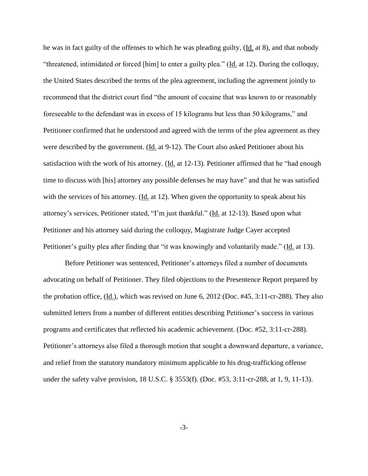he was in fact guilty of the offenses to which he was pleading guilty, (Id. at 8), and that nobody "threatened, intimidated or forced [him] to enter a guilty plea." (Id. at 12). During the colloquy, the United States described the terms of the plea agreement, including the agreement jointly to recommend that the district court find "the amount of cocaine that was known to or reasonably foreseeable to the defendant was in excess of 15 kilograms but less than 50 kilograms," and Petitioner confirmed that he understood and agreed with the terms of the plea agreement as they were described by the government. (Id. at 9-12). The Court also asked Petitioner about his satisfaction with the work of his attorney. (Id. at 12-13). Petitioner affirmed that he "had enough time to discuss with [his] attorney any possible defenses he may have" and that he was satisfied with the services of his attorney. (Id. at 12). When given the opportunity to speak about his attorney's services, Petitioner stated, "I'm just thankful." (Id. at 12-13). Based upon what Petitioner and his attorney said during the colloquy, Magistrate Judge Cayer accepted Petitioner's guilty plea after finding that "it was knowingly and voluntarily made." (Id. at 13).

Before Petitioner was sentenced, Petitioner's attorneys filed a number of documents advocating on behalf of Petitioner. They filed objections to the Presentence Report prepared by the probation office, (Id.), which was revised on June 6, 2012 (Doc. #45, 3:11-cr-288). They also submitted letters from a number of different entities describing Petitioner's success in various programs and certificates that reflected his academic achievement. (Doc. #52, 3:11-cr-288). Petitioner's attorneys also filed a thorough motion that sought a downward departure, a variance, and relief from the statutory mandatory minimum applicable to his drug-trafficking offense under the safety valve provision, 18 U.S.C. § 3553(f). (Doc. #53, 3:11-cr-288, at 1, 9, 11-13).

-3-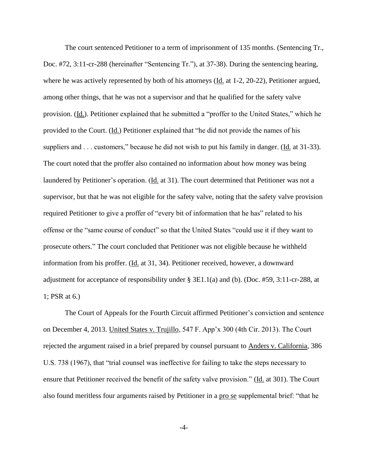The court sentenced Petitioner to a term of imprisonment of 135 months. (Sentencing Tr., Doc. #72, 3:11-cr-288 (hereinafter "Sentencing Tr."), at 37-38). During the sentencing hearing, where he was actively represented by both of his attorneys (Id. at 1-2, 20-22), Petitioner argued, among other things, that he was not a supervisor and that he qualified for the safety valve provision. (Id.). Petitioner explained that he submitted a "proffer to the United States," which he provided to the Court. (Id.) Petitioner explained that "he did not provide the names of his suppliers and . . . customers," because he did not wish to put his family in danger. (Id. at 31-33). The court noted that the proffer also contained no information about how money was being laundered by Petitioner's operation. (Id. at 31). The court determined that Petitioner was not a supervisor, but that he was not eligible for the safety valve, noting that the safety valve provision required Petitioner to give a proffer of "every bit of information that he has" related to his offense or the "same course of conduct" so that the United States "could use it if they want to prosecute others." The court concluded that Petitioner was not eligible because he withheld information from his proffer. (Id. at 31, 34). Petitioner received, however, a downward adjustment for acceptance of responsibility under § 3E1.1(a) and (b). (Doc. #59, 3:11-cr-288, at 1; PSR at 6.)

The Court of Appeals for the Fourth Circuit affirmed Petitioner's conviction and sentence on December 4, 2013. United States v. Trujillo, 547 F. App'x 300 (4th Cir. 2013). The Court rejected the argument raised in a brief prepared by counsel pursuant to Anders v. California, 386 U.S. 738 (1967), that "trial counsel was ineffective for failing to take the steps necessary to ensure that Petitioner received the benefit of the safety valve provision." (Id. at 301). The Court also found meritless four arguments raised by Petitioner in a pro se supplemental brief: "that he

-4-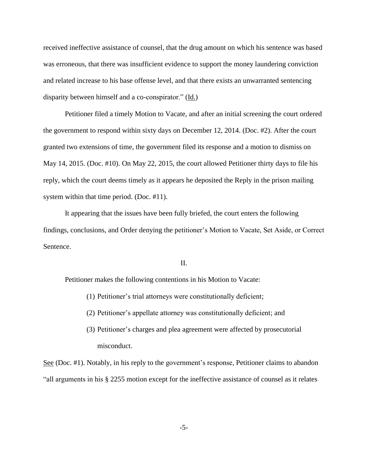received ineffective assistance of counsel, that the drug amount on which his sentence was based was erroneous, that there was insufficient evidence to support the money laundering conviction and related increase to his base offense level, and that there exists an unwarranted sentencing disparity between himself and a co-conspirator." (Id.)

Petitioner filed a timely Motion to Vacate, and after an initial screening the court ordered the government to respond within sixty days on December 12, 2014. (Doc. #2). After the court granted two extensions of time, the government filed its response and a motion to dismiss on May 14, 2015. (Doc. #10). On May 22, 2015, the court allowed Petitioner thirty days to file his reply, which the court deems timely as it appears he deposited the Reply in the prison mailing system within that time period. (Doc. #11).

It appearing that the issues have been fully briefed, the court enters the following findings, conclusions, and Order denying the petitioner's Motion to Vacate, Set Aside, or Correct Sentence.

### II.

Petitioner makes the following contentions in his Motion to Vacate:

- (1) Petitioner's trial attorneys were constitutionally deficient;
- (2) Petitioner's appellate attorney was constitutionally deficient; and
- (3) Petitioner's charges and plea agreement were affected by prosecutorial misconduct.

See (Doc. #1). Notably, in his reply to the government's response, Petitioner claims to abandon "all arguments in his § 2255 motion except for the ineffective assistance of counsel as it relates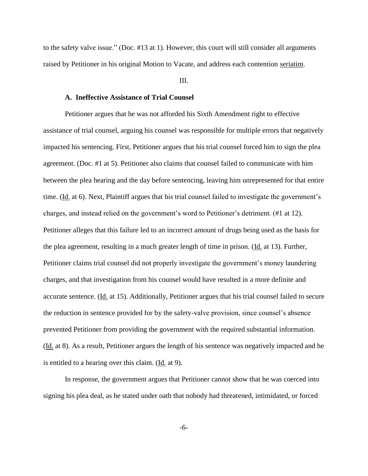to the safety valve issue." (Doc. #13 at 1). However, this court will still consider all arguments raised by Petitioner in his original Motion to Vacate, and address each contention seriatim.

#### III.

### **A. Ineffective Assistance of Trial Counsel**

Petitioner argues that he was not afforded his Sixth Amendment right to effective assistance of trial counsel, arguing his counsel was responsible for multiple errors that negatively impacted his sentencing. First, Petitioner argues that his trial counsel forced him to sign the plea agreement. (Doc. #1 at 5). Petitioner also claims that counsel failed to communicate with him between the plea hearing and the day before sentencing, leaving him unrepresented for that entire time. (Id. at 6). Next, Plaintiff argues that his trial counsel failed to investigate the government's charges, and instead relied on the government's word to Petitioner's detriment. (#1 at 12). Petitioner alleges that this failure led to an incorrect amount of drugs being used as the basis for the plea agreement, resulting in a much greater length of time in prison. (Id. at 13). Further, Petitioner claims trial counsel did not properly investigate the government's money laundering charges, and that investigation from his counsel would have resulted in a more definite and accurate sentence. (Id. at 15). Additionally, Petitioner argues that his trial counsel failed to secure the reduction in sentence provided for by the safety-valve provision, since counsel's absence prevented Petitioner from providing the government with the required substantial information. (Id. at 8). As a result, Petitioner argues the length of his sentence was negatively impacted and he is entitled to a hearing over this claim. (Id. at 9).

In response, the government argues that Petitioner cannot show that he was coerced into signing his plea deal, as he stated under oath that nobody had threatened, intimidated, or forced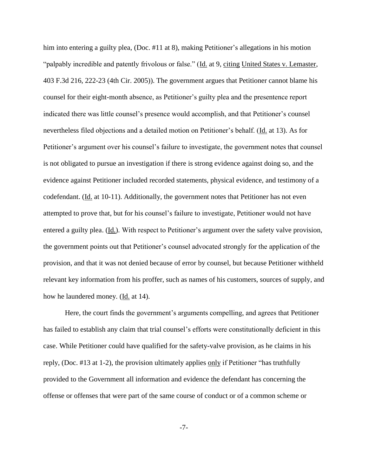him into entering a guilty plea, (Doc. #11 at 8), making Petitioner's allegations in his motion "palpably incredible and patently frivolous or false." (Id. at 9, citing United States v. Lemaster, 403 F.3d 216, 222-23 (4th Cir. 2005)). The government argues that Petitioner cannot blame his counsel for their eight-month absence, as Petitioner's guilty plea and the presentence report indicated there was little counsel's presence would accomplish, and that Petitioner's counsel nevertheless filed objections and a detailed motion on Petitioner's behalf. (Id. at 13). As for Petitioner's argument over his counsel's failure to investigate, the government notes that counsel is not obligated to pursue an investigation if there is strong evidence against doing so, and the evidence against Petitioner included recorded statements, physical evidence, and testimony of a codefendant. (Id. at 10-11). Additionally, the government notes that Petitioner has not even attempted to prove that, but for his counsel's failure to investigate, Petitioner would not have entered a guilty plea. (Id.). With respect to Petitioner's argument over the safety valve provision, the government points out that Petitioner's counsel advocated strongly for the application of the provision, and that it was not denied because of error by counsel, but because Petitioner withheld relevant key information from his proffer, such as names of his customers, sources of supply, and how he laundered money. (Id. at 14).

Here, the court finds the government's arguments compelling, and agrees that Petitioner has failed to establish any claim that trial counsel's efforts were constitutionally deficient in this case. While Petitioner could have qualified for the safety-valve provision, as he claims in his reply, (Doc. #13 at 1-2), the provision ultimately applies only if Petitioner "has truthfully provided to the Government all information and evidence the defendant has concerning the offense or offenses that were part of the same course of conduct or of a common scheme or

-7-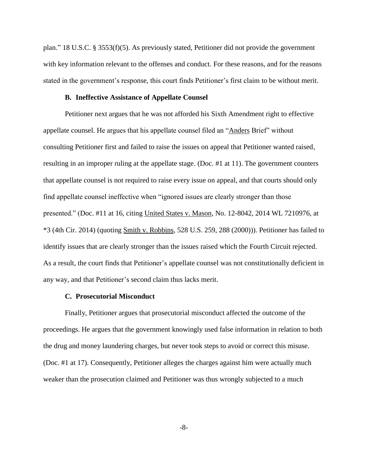plan." 18 U.S.C. § 3553(f)(5). As previously stated, Petitioner did not provide the government with key information relevant to the offenses and conduct. For these reasons, and for the reasons stated in the government's response, this court finds Petitioner's first claim to be without merit.

### **B. Ineffective Assistance of Appellate Counsel**

Petitioner next argues that he was not afforded his Sixth Amendment right to effective appellate counsel. He argues that his appellate counsel filed an "Anders Brief" without consulting Petitioner first and failed to raise the issues on appeal that Petitioner wanted raised, resulting in an improper ruling at the appellate stage. (Doc. #1 at 11). The government counters that appellate counsel is not required to raise every issue on appeal, and that courts should only find appellate counsel ineffective when "ignored issues are clearly stronger than those presented." (Doc. #11 at 16, citing United States v. Mason, No. 12-8042, 2014 WL 7210976, at \*3 (4th Cir. 2014) (quoting Smith v. Robbins, 528 U.S. 259, 288 (2000))). Petitioner has failed to identify issues that are clearly stronger than the issues raised which the Fourth Circuit rejected. As a result, the court finds that Petitioner's appellate counsel was not constitutionally deficient in any way, and that Petitioner's second claim thus lacks merit.

### **C. Prosecutorial Misconduct**

Finally, Petitioner argues that prosecutorial misconduct affected the outcome of the proceedings. He argues that the government knowingly used false information in relation to both the drug and money laundering charges, but never took steps to avoid or correct this misuse. (Doc. #1 at 17). Consequently, Petitioner alleges the charges against him were actually much weaker than the prosecution claimed and Petitioner was thus wrongly subjected to a much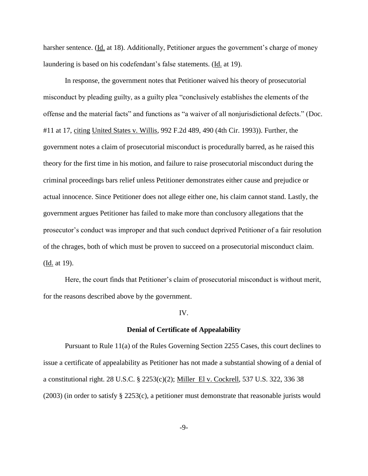harsher sentence. (Id. at 18). Additionally, Petitioner argues the government's charge of money laundering is based on his codefendant's false statements. (Id. at 19).

In response, the government notes that Petitioner waived his theory of prosecutorial misconduct by pleading guilty, as a guilty plea "conclusively establishes the elements of the offense and the material facts" and functions as "a waiver of all nonjurisdictional defects." (Doc. #11 at 17, citing United States v. Willis, 992 F.2d 489, 490 (4th Cir. 1993)). Further, the government notes a claim of prosecutorial misconduct is procedurally barred, as he raised this theory for the first time in his motion, and failure to raise prosecutorial misconduct during the criminal proceedings bars relief unless Petitioner demonstrates either cause and prejudice or actual innocence. Since Petitioner does not allege either one, his claim cannot stand. Lastly, the government argues Petitioner has failed to make more than conclusory allegations that the prosecutor's conduct was improper and that such conduct deprived Petitioner of a fair resolution of the chrages, both of which must be proven to succeed on a prosecutorial misconduct claim. (Id. at 19).

Here, the court finds that Petitioner's claim of prosecutorial misconduct is without merit, for the reasons described above by the government.

#### IV.

#### **Denial of Certificate of Appealability**

Pursuant to Rule 11(a) of the Rules Governing Section 2255 Cases, this court declines to issue a certificate of appealability as Petitioner has not made a substantial showing of a denial of a constitutional right. 28 U.S.C. § 2253(c)(2); Miller El v. Cockrell, 537 U.S. 322, 336 38 (2003) (in order to satisfy § 2253(c), a petitioner must demonstrate that reasonable jurists would